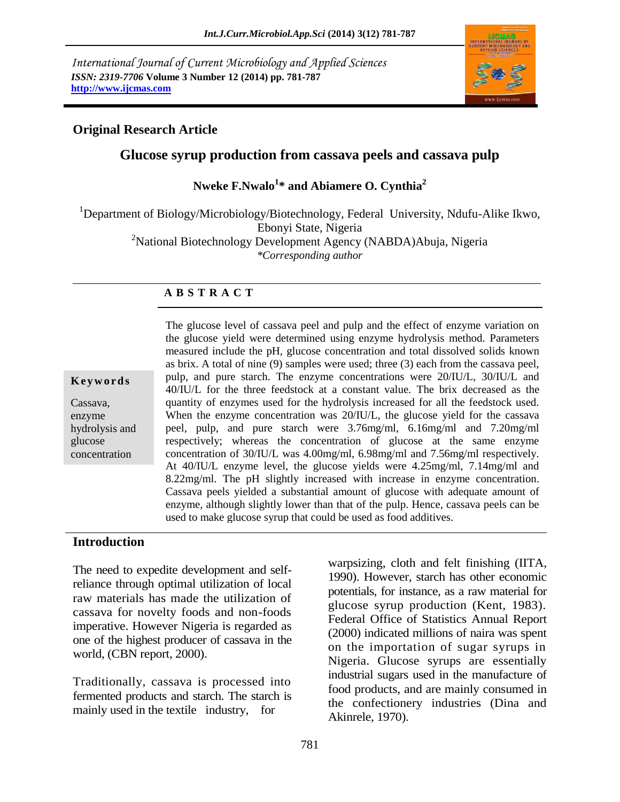*International Journal of Current Microbiology and Applied Sciences ISSN: 2319-7706* **Volume 3 Number 12 (2014) pp. 781-787 http://www.ijcmas.com**



#### **Original Research Article**

#### **Glucose syrup production from cassava peels and cassava pulp**

**Nweke F.Nwalo<sup>1</sup> \* and Abiamere O. Cynthia<sup>2</sup>**

<sup>1</sup>Department of Biology/Microbiology/Biotechnology, Federal University, Ndufu-Alike Ikwo, Ebonyi State, Nigeria

<sup>2</sup>National Biotechnology Development Agency (NABDA)Abuja, Nigeria *\*Corresponding author* 

#### **A B S T R A C T**

#### **K e y w o r d s**

Cassava, enzyme hydrolysis and glucose concentration

The glucose level of cassava peel and pulp and the effect of enzyme variation on the glucose yield were determined using enzyme hydrolysis method. Parameters measured include the pH, glucose concentration and total dissolved solids known as brix. A total of nine (9) samples were used; three (3) each from the cassava peel, pulp, and pure starch. The enzyme concentrations were 20/IU/L, 30/IU/L and 40/IU/L for the three feedstock at a constant value. The brix decreased as the quantity of enzymes used for the hydrolysis increased for all the feedstock used. When the enzyme concentration was 20/IU/L, the glucose yield for the cassava peel, pulp, and pure starch were 3.76mg/ml, 6.16mg/ml and 7.20mg/ml respectively; whereas the concentration of glucose at the same enzyme concentration of 30/IU/L was 4.00mg/ml, 6.98mg/ml and 7.56mg/ml respectively. At 40/IU/L enzyme level, the glucose yields were 4.25mg/ml, 7.14mg/ml and 8.22mg/ml. The pH slightly increased with increase in enzyme concentration. Cassava peels yielded a substantial amount of glucose with adequate amount of enzyme, although slightly lower than that of the pulp. Hence, cassava peels can be used to make glucose syrup that could be used as food additives.

#### **Introduction**

The need to expedite development and selfreliance through optimal utilization of local raw materials has made the utilization of cassava for novelty foods and non-foods imperative. However Nigeria is regarded as one of the highest producer of cassava in the world, (CBN report, 2000).

Traditionally, cassava is processed into fermented products and starch. The starch is mainly used in the textile industry, for

warpsizing, cloth and felt finishing (IITA, 1990). However, starch has other economic potentials, for instance, as a raw material for glucose syrup production (Kent, 1983). Federal Office of Statistics Annual Report (2000) indicated millions of naira was spent on the importation of sugar syrups in Nigeria. Glucose syrups are essentially industrial sugars used in the manufacture of food products, and are mainly consumed in the confectionery industries (Dina and Akinrele, 1970).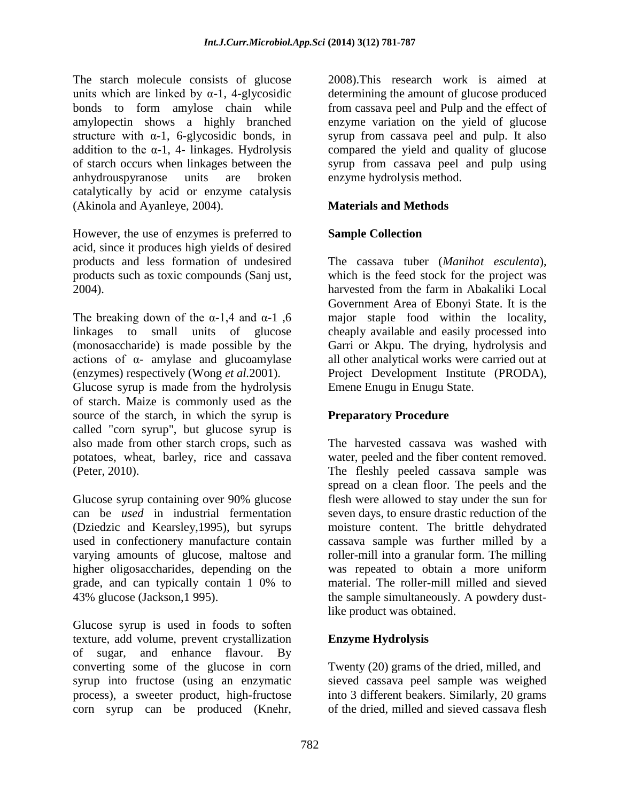The starch molecule consists of glucose units which are linked by  $\alpha$ -1, 4-glycosidic bonds to form amylose chain while amylopectin shows a highly branched structure with  $\alpha$ -1, 6-glycosidic bonds, in addition to the  $\alpha$ -1, 4- linkages. Hydrolysis of starch occurs when linkages between the anhydrouspyranose units are broken catalytically by acid or enzyme catalysis (Akinola and Ayanleye, 2004).

However, the use of enzymes is preferred to acid, since it produces high yields of desired products and less formation of undesired products such as toxic compounds (Sanj ust, 2004).

The breaking down of the α-1,4 and α-1, 6 linkages to small units of glucose (monosaccharide) is made possible by the actions of α- amylase and glucoamylase (enzymes) respectively (Wong *et al.*2001).

Glucose syrup is made from the hydrolysis of starch. Maize is commonly used as the source of the starch, in which the syrup is called "corn syrup", but glucose syrup is also made from other starch crops, such as potatoes, wheat, barley, rice and cassava (Peter, 2010).

Glucose syrup containing over 90% glucose can be *used* in industrial fermentation (Dziedzic and Kearsley,1995), but syrups used in confectionery manufacture contain varying amounts of glucose, maltose and higher oligosaccharides, depending on the grade, and can typically contain 1 0% to 43% glucose (Jackson,1 995).

Glucose syrup is used in foods to soften texture, add volume, prevent crystallization of sugar, and enhance flavour. By converting some of the glucose in corn syrup into fructose (using an enzymatic process), a sweeter product, high-fructose corn syrup can be produced (Knehr,

2008).This research work is aimed at determining the amount of glucose produced from cassava peel and Pulp and the effect of enzyme variation on the yield of glucose syrup from cassava peel and pulp. It also compared the yield and quality of glucose syrup from cassava peel and pulp using enzyme hydrolysis method.

### **Materials and Methods**

### **Sample Collection**

The cassava tuber (*Manihot esculenta*), which is the feed stock for the project was harvested from the farm in Abakaliki Local Government Area of Ebonyi State. It is the major staple food within the locality, cheaply available and easily processed into Garri or Akpu. The drying, hydrolysis and all other analytical works were carried out at Project Development Institute (PRODA), Emene Enugu in Enugu State.

#### **Preparatory Procedure**

The harvested cassava was washed with water, peeled and the fiber content removed. The fleshly peeled cassava sample was spread on a clean floor. The peels and the flesh were allowed to stay under the sun for seven days, to ensure drastic reduction of the moisture content. The brittle dehydrated cassava sample was further milled by a roller-mill into a granular form. The milling was repeated to obtain a more uniform material. The roller-mill milled and sieved the sample simultaneously. A powdery dustlike product was obtained.

### **Enzyme Hydrolysis**

Twenty (20) grams of the dried, milled, and sieved cassava peel sample was weighed into 3 different beakers. Similarly, 20 grams of the dried, milled and sieved cassava flesh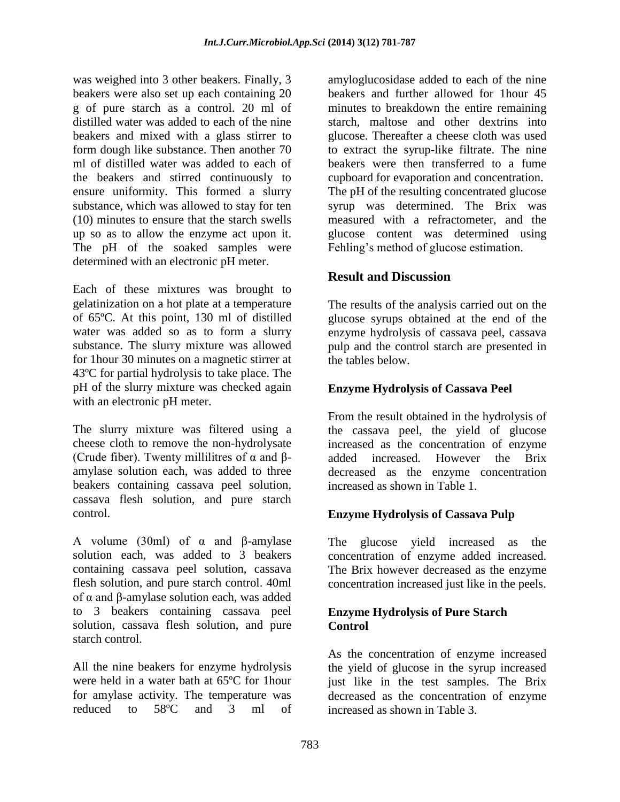was weighed into 3 other beakers. Finally, 3 beakers were also set up each containing 20 g of pure starch as a control. 20 ml of distilled water was added to each of the nine beakers and mixed with a glass stirrer to form dough like substance. Then another 70 ml of distilled water was added to each of the beakers and stirred continuously to ensure uniformity. This formed a slurry substance, which was allowed to stay for ten (10) minutes to ensure that the starch swells up so as to allow the enzyme act upon it. The pH of the soaked samples were determined with an electronic pH meter.

Each of these mixtures was brought to gelatinization on a hot plate at a temperature of 65ºC. At this point, 130 ml of distilled water was added so as to form a slurry substance. The slurry mixture was allowed for 1hour 30 minutes on a magnetic stirrer at 43ºC for partial hydrolysis to take place. The pH of the slurry mixture was checked again with an electronic pH meter.

The slurry mixture was filtered using a cheese cloth to remove the non-hydrolysate (Crude fiber). Twenty millilitres of  $\alpha$  and  $\beta$ amylase solution each, was added to three beakers containing cassava peel solution, cassava flesh solution, and pure starch control.

A volume (30ml) of α and β-amylase solution each, was added to 3 beakers containing cassava peel solution, cassava flesh solution, and pure starch control. 40ml of α and β-amylase solution each, was added to 3 beakers containing cassava peel solution, cassava flesh solution, and pure starch control.

All the nine beakers for enzyme hydrolysis were held in a water bath at 65ºC for 1hour for amylase activity. The temperature was reduced to 58ºC and 3 ml of amyloglucosidase added to each of the nine beakers and further allowed for 1hour 45 minutes to breakdown the entire remaining starch, maltose and other dextrins into glucose. Thereafter a cheese cloth was used to extract the syrup-like filtrate. The nine beakers were then transferred to a fume cupboard for evaporation and concentration. The pH of the resulting concentrated glucose syrup was determined. The Brix was measured with a refractometer, and the glucose content was determined using Fehling's method of glucose estimation.

# **Result and Discussion**

The results of the analysis carried out on the glucose syrups obtained at the end of the enzyme hydrolysis of cassava peel, cassava pulp and the control starch are presented in the tables below.

### **Enzyme Hydrolysis of Cassava Peel**

From the result obtained in the hydrolysis of the cassava peel, the yield of glucose increased as the concentration of enzyme added increased. However the Brix decreased as the enzyme concentration increased as shown in Table 1.

### **Enzyme Hydrolysis of Cassava Pulp**

The glucose yield increased as the concentration of enzyme added increased. The Brix however decreased as the enzyme concentration increased just like in the peels.

#### **Enzyme Hydrolysis of Pure Starch Control**

As the concentration of enzyme increased the yield of glucose in the syrup increased just like in the test samples. The Brix decreased as the concentration of enzyme increased as shown in Table 3.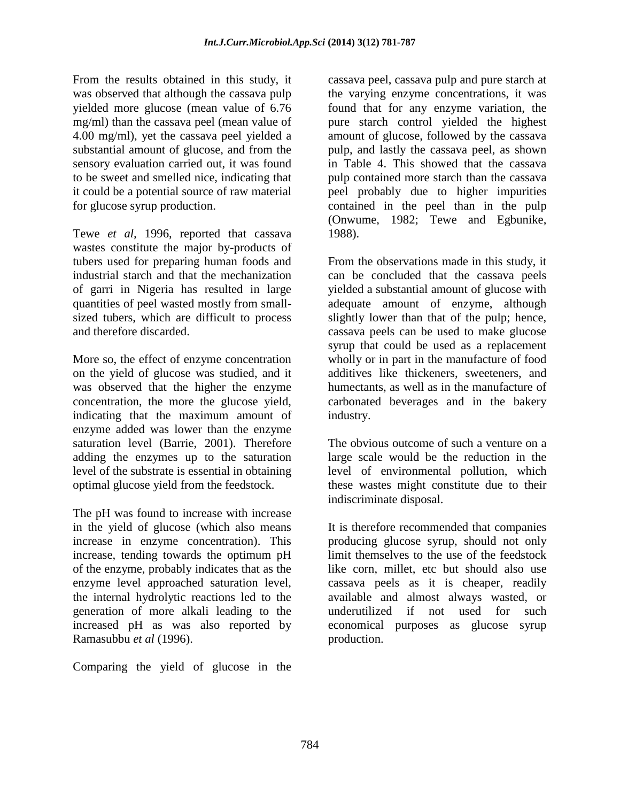From the results obtained in this study, it was observed that although the cassava pulp yielded more glucose (mean value of 6.76 mg/ml) than the cassava peel (mean value of 4.00 mg/ml), yet the cassava peel yielded a substantial amount of glucose, and from the sensory evaluation carried out, it was found to be sweet and smelled nice, indicating that it could be a potential source of raw material for glucose syrup production.

Tewe *et al*, 1996, reported that cassava wastes constitute the major by-products of tubers used for preparing human foods and industrial starch and that the mechanization of garri in Nigeria has resulted in large quantities of peel wasted mostly from smallsized tubers, which are difficult to process and therefore discarded.

More so, the effect of enzyme concentration on the yield of glucose was studied, and it was observed that the higher the enzyme concentration, the more the glucose yield, indicating that the maximum amount of enzyme added was lower than the enzyme saturation level (Barrie, 2001). Therefore adding the enzymes up to the saturation level of the substrate is essential in obtaining optimal glucose yield from the feedstock.

The pH was found to increase with increase in the yield of glucose (which also means increase in enzyme concentration). This increase, tending towards the optimum pH of the enzyme, probably indicates that as the enzyme level approached saturation level, the internal hydrolytic reactions led to the generation of more alkali leading to the increased pH as was also reported by Ramasubbu *et al* (1996).

Comparing the yield of glucose in the

cassava peel, cassava pulp and pure starch at the varying enzyme concentrations, it was found that for any enzyme variation, the pure starch control yielded the highest amount of glucose, followed by the cassava pulp, and lastly the cassava peel, as shown in Table 4. This showed that the cassava pulp contained more starch than the cassava peel probably due to higher impurities contained in the peel than in the pulp (Onwume, 1982; Tewe and Egbunike, 1988).

From the observations made in this study, it can be concluded that the cassava peels yielded a substantial amount of glucose with adequate amount of enzyme, although slightly lower than that of the pulp; hence, cassava peels can be used to make glucose syrup that could be used as a replacement wholly or in part in the manufacture of food additives like thickeners, sweeteners, and humectants, as well as in the manufacture of carbonated beverages and in the bakery industry.

The obvious outcome of such a venture on a large scale would be the reduction in the level of environmental pollution, which these wastes might constitute due to their indiscriminate disposal.

It is therefore recommended that companies producing glucose syrup, should not only limit themselves to the use of the feedstock like corn, millet, etc but should also use cassava peels as it is cheaper, readily available and almost always wasted, or underutilized if not used for such economical purposes as glucose syrup production.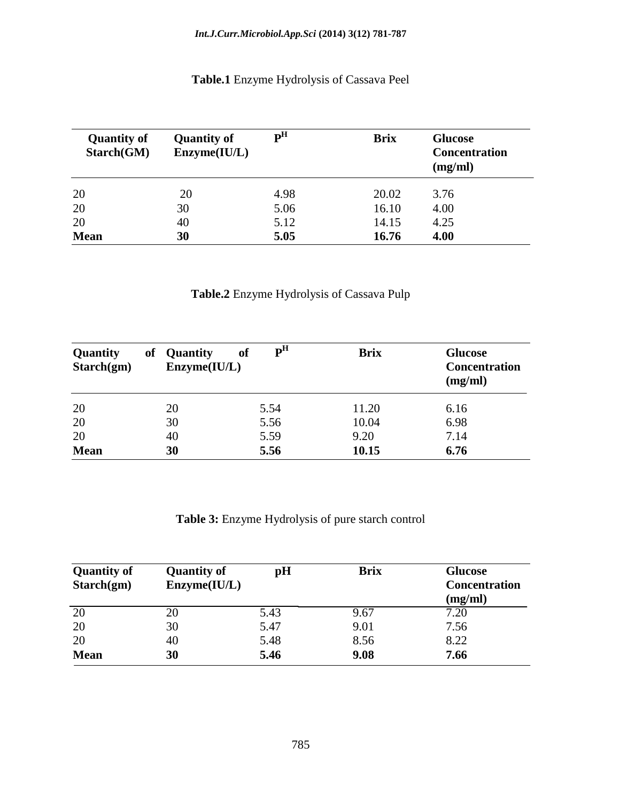**Table.1** Enzyme Hydrolysis of Cassava Peel

| <b>Quantity of</b><br>Starch(GM) | <b>Quantity of</b><br>Enzyme(IU/L) | $\mathbf{p}^{\mathrm{H}}$ | <b>Brix</b> | <b>Glucose</b><br><b>Concentration</b><br>(mg/ml) |
|----------------------------------|------------------------------------|---------------------------|-------------|---------------------------------------------------|
| 20                               | 20                                 | 4.98                      | 20.02       | 3.76                                              |
| 20                               | 30                                 | 5.06                      | 16.10       | 4.00                                              |
| 20                               | 40                                 | 5.12                      | 14.15       | 4.25                                              |
| <b>Mean</b>                      | 30                                 | 5.05                      | 16.76       | 4.00                                              |

# **Table.2** Enzyme Hydrolysis of Cassava Pulp

| Quantity<br>Starch(gm) | of | <b>Quantity</b><br>Enzyme(IU/L) | <b>of</b> | P <sup>H</sup> | <b>Brix</b> | <b>Glucose</b><br><b>Concentration</b><br>(mg/ml) |
|------------------------|----|---------------------------------|-----------|----------------|-------------|---------------------------------------------------|
| 20                     |    | 20                              |           | 5.54           | 11.20       | 6.16                                              |
| 20                     |    | 30                              |           | 5.56           | 10.04       | 6.98                                              |
| 20                     |    | 40                              |           | 5.59           | 9.20        | 7.14                                              |
| <b>Mean</b>            |    | 30                              |           | 5.56           | 10.15       | 6.76                                              |

**Table 3:** Enzyme Hydrolysis of pure starch control

| <b>Quantity of</b><br>Starch(gm) | <b>Quantity of</b><br>Enzyme(IU/L) | pH   | <b>Brix</b> | <b>Glucose</b><br><b>Concentration</b> |
|----------------------------------|------------------------------------|------|-------------|----------------------------------------|
|                                  |                                    |      |             | (mg/ml)                                |
| 20                               | 20                                 | 5.43 | 9.67        | 7.20                                   |
| 20                               | 30                                 | 5.47 | 9.01        | 7.56                                   |
| 20                               | 40                                 | 5.48 | 8.56        | 8.22                                   |
| <b>Mean</b>                      | 30                                 | 5.46 | 9.08        | 7.66                                   |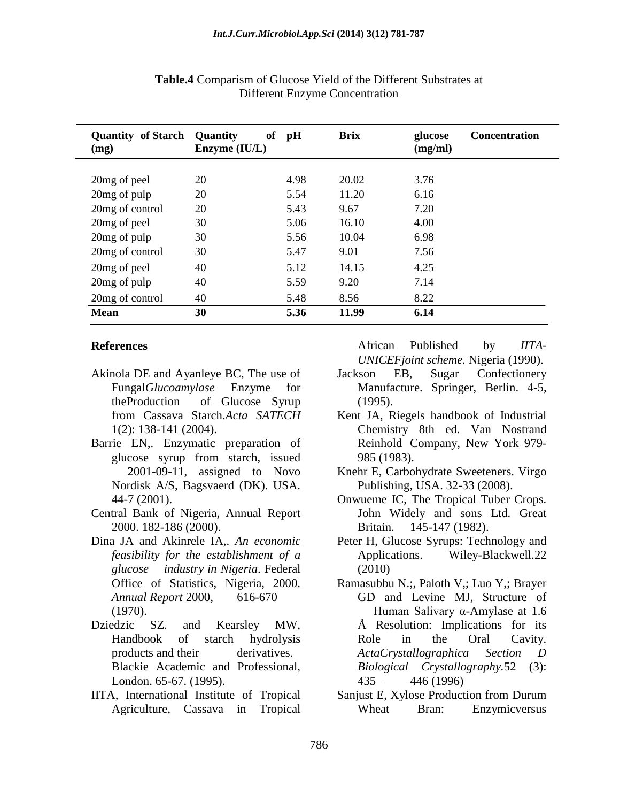| <b>Quantity of Starch</b><br>(mg) | <b>of</b><br><b>Quantity</b><br>Enzyme (IU/L) | pH   | <b>Brix</b> | glucose<br>(mg/ml) | <b>Concentration</b> |
|-----------------------------------|-----------------------------------------------|------|-------------|--------------------|----------------------|
|                                   |                                               |      |             |                    |                      |
| 20mg of peel                      | 20                                            | 4.98 | 20.02       | 3.76               |                      |
| 20 <sub>mg</sub> of pulp          | 20                                            | 5.54 | 11.20       | 6.16               |                      |
| 20mg of control                   | 20                                            | 5.43 | 9.67        | 7.20               |                      |
| 20mg of peel                      | 30                                            | 5.06 | 16.10       | 4.00               |                      |
| 20 <sub>mg</sub> of pulp          | 30                                            | 5.56 | 10.04       | 6.98               |                      |
| 20 <sub>mg</sub> of control       | 30                                            | 5.47 | 9.01        | 7.56               |                      |
| 20 <sub>mg</sub> of peel          | 40                                            | 5.12 | 14.15       | 4.25               |                      |
| 20mg of pulp                      | 40                                            | 5.59 | 9.20        | 7.14               |                      |
| 20mg of control                   | 40                                            | 5.48 | 8.56        | 8.22               |                      |
| <b>Mean</b>                       | 30                                            | 5.36 | 11.99       | 6.14               |                      |

#### **Table.4** Comparism of Glucose Yield of the Different Substrates at Different Enzyme Concentration

#### **References**

- Akinola DE and Ayanleye BC, The use of Fungal*Glucoamylase* Enzyme for theProduction of Glucose Syrup from Cassava Starch.*Acta SATECH*  1(2): 138-141 (2004).
- Barrie EN,. Enzymatic preparation of glucose syrup from starch, issued 2001-09-11, assigned to Novo Nordisk A/S, Bagsvaerd (DK). USA. 44-7 (2001).
- Central Bank of Nigeria, Annual Report 2000. 182-186 (2000).
- Dina JA and Akinrele IA,. *An economic feasibility for the establishment of a glucose industry in Nigeria*. Federal Office of Statistics, Nigeria, 2000. *Annual Report* 2000, 616-670 (1970).
- Dziedzic SZ. and Kearsley MW, Handbook of starch hydrolysis products and their derivatives. Blackie Academic and Professional, London. 65-67. (1995).
- IITA, International Institute of Tropical Agriculture, Cassava in Tropical

African Published by *IITA*-*UNICEFjoint scheme.* Nigeria (1990).

- Jackson EB, Sugar Confectionery Manufacture. Springer, Berlin. 4-5, (1995).
- Kent JA, Riegels handbook of Industrial Chemistry 8th ed. Van Nostrand Reinhold Company, New York 979- 985 (1983).
- Knehr E, Carbohydrate Sweeteners. Virgo Publishing, USA. 32-33 (2008).
- Onwueme IC, The Tropical Tuber Crops. John Widely and sons Ltd. Great Britain. 145-147 (1982).
- Peter H, Glucose Syrups: Technology and Applications. Wiley-Blackwell.22 (2010)
- Ramasubbu N.;, Paloth V,; Luo Y,; Brayer GD and Levine MJ, Structure of Human Salivary α-Amylase at 1.6 Å Resolution: Implications for its Role in the Oral Cavity. *ActaCrystallographica Section D Biological Crystallography.*52 (3): 435– 446 (1996)
- Sanjust E, Xylose Production from Durum Wheat Bran: Enzymicversus